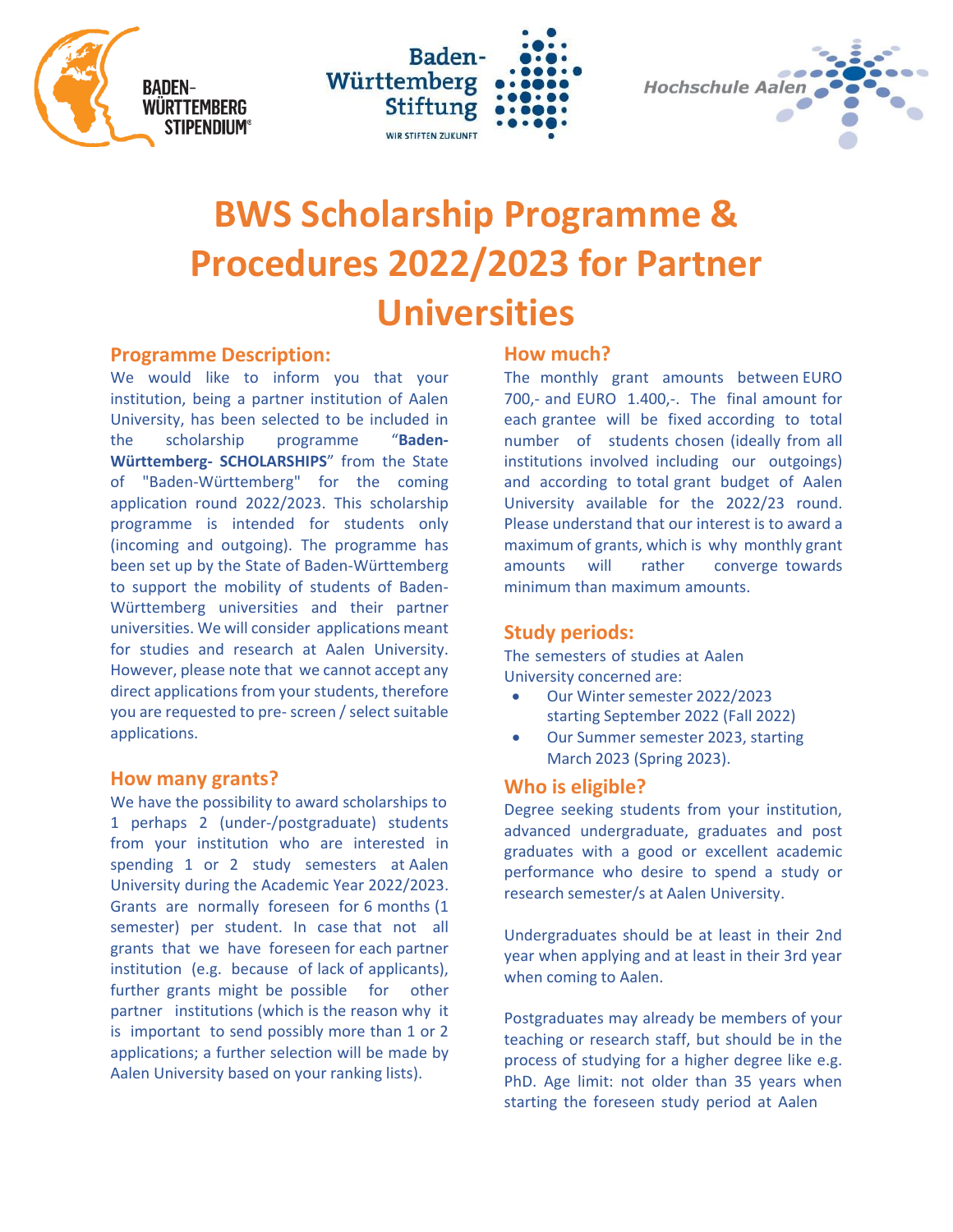





# **BWS Scholarship Programme & Procedures 2022/2023 for Partner Universities**

## **Programme Description:**

We would like to inform you that your institution, being a partner institution of Aalen University, has been selected to be included in the scholarship programme "**Baden-Württemberg- SCHOLARSHIPS**" from the State of "Baden-Württemberg" for the coming application round 2022/2023. This scholarship programme is intended for students only (incoming and outgoing). The programme has been set up by the State of Baden-Württemberg to support the mobility of students of Baden-Württemberg universities and their partner universities. We will consider applications meant for studies and research at Aalen University. However, please note that we cannot accept any direct applications from your students, therefore you are requested to pre- screen / select suitable applications.

## **How many grants?**

We have the possibility to award scholarships to 1 perhaps 2 (under-/postgraduate) students from your institution who are interested in spending 1 or 2 study semesters at Aalen University during the Academic Year 2022/2023. Grants are normally foreseen for 6 months (1 semester) per student. In case that not all grants that we have foreseen for each partner institution (e.g. because of lack of applicants), further grants might be possible for other partner institutions (which is the reason why it is important to send possibly more than 1 or 2 applications; a further selection will be made by Aalen University based on your ranking lists).

# **How much?**

The monthly grant amounts between EURO 700,- and EURO 1.400,-. The final amount for each grantee will be fixed according to total number of students chosen (ideally from all institutions involved including our outgoings) and according to total grant budget of Aalen University available for the 2022/23 round. Please understand that our interest is to award a maximum of grants, which is why monthly grant amounts will rather converge towards minimum than maximum amounts.

# **Study periods:**

The semesters of studies at Aalen University concerned are:

- Our Winter semester 2022/2023 starting September 2022 (Fall 2022)
- Our Summer semester 2023, starting March 2023 (Spring 2023).

# **Who is eligible?**

Degree seeking students from your institution, advanced undergraduate, graduates and post graduates with a good or excellent academic performance who desire to spend a study or research semester/s at Aalen University.

Undergraduates should be at least in their 2nd year when applying and at least in their 3rd year when coming to Aalen.

Postgraduates may already be members of your teaching or research staff, but should be in the process of studying for a higher degree like e.g. PhD. Age limit: not older than 35 years when starting the foreseen study period at Aalen